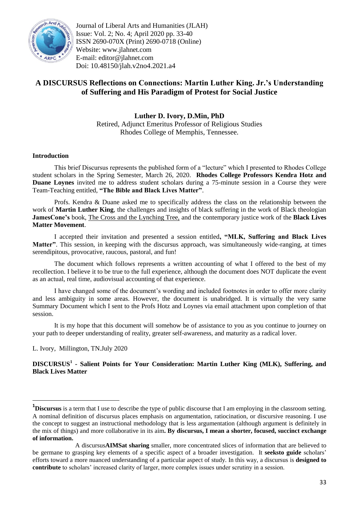

Journal of Liberal Arts and Humanities (JLAH) Issue: Vol. 2; No. 4; April 2020 pp. 33-40 ISSN 2690-070X (Print) 2690-0718 (Online) Website: www.jlahnet.com E-mail: editor@jlahnet.com Doi: 10.48150/jlah.v2no4.2021.a4

## **A DISCURSUS Reflections on Connections: Martin Luther King. Jr."s Understanding of Suffering and His Paradigm of Protest for Social Justice**

**Luther D. Ivory, D.Min, PhD** Retired, Adjunct Emeritus Professor of Religious Studies Rhodes College of Memphis, Tennessee.

## **Introduction**

This brief Discursus represents the published form of a "lecture" which I presented to Rhodes College student scholars in the Spring Semester, March 26, 2020. **Rhodes College Professors Kendra Hotz and Duane Loynes** invited me to address student scholars during a 75-minute session in a Course they were Team-Teaching entitled, **"The Bible and Black Lives Matter"**.

Profs. Kendra & Duane asked me to specifically address the class on the relationship between the work of **Martin Luther King**, the challenges and insights of black suffering in the work of Black theologian **JamesCone"s** book, The Cross and the Lynching Tree, and the contemporary justice work of the **Black Lives Matter Movement**.

I accepted their invitation and presented a session entitled**, "MLK, Suffering and Black Lives Matter"**. This session, in keeping with the discursus approach, was simultaneously wide-ranging, at times serendipitous, provocative, raucous, pastoral, and fun!

The document which follows represents a written accounting of what I offered to the best of my recollection. I believe it to be true to the full experience, although the document does NOT duplicate the event as an actual, real time, audiovisual accounting of that experience.

I have changed some of the document"s wording and included footnotes in order to offer more clarity and less ambiguity in some areas. However, the document is unabridged. It is virtually the very same Summary Document which I sent to the Profs Hotz and Loynes via email attachment upon completion of that session.

It is my hope that this document will somehow be of assistance to you as you continue to journey on your path to deeper understanding of reality, greater self-awareness, and maturity as a radical lover.

## L. Ivory, Millington, TN.July 2020

 $\overline{a}$ 

**DISCURSUS<sup>1</sup> - Salient Points for Your Consideration: Martin Luther King (MLK), Suffering, and Black Lives Matter**

**<sup>1</sup>Discursus** is a term that I use to describe the type of public discourse that I am employing in the classroom setting. A nominal definition of discursus places emphasis on argumentation, ratiocination, or discursive reasoning. I use the concept to suggest an instructional methodology that is less argumentation (although argument is definitely in the mix of things) and more collaborative in its aim**. By discursus, I mean a shorter, focused, succinct exchange of information.**

A discursus**AIMSat sharing** smaller, more concentrated slices of information that are believed to be germane to grasping key elements of a specific aspect of a broader investigation. It **seeksto guide** scholars" efforts toward a more nuanced understanding of a particular aspect of study. In this way, a discursus is **designed to**  contribute to scholars' increased clarity of larger, more complex issues under scrutiny in a session.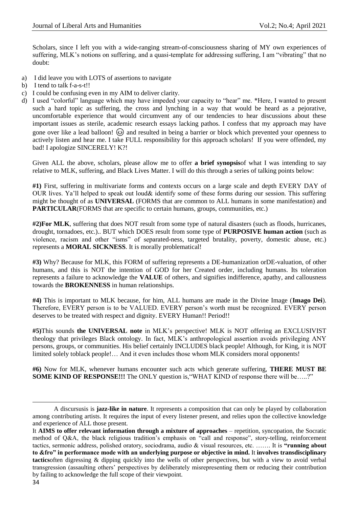Scholars, since I left you with a wide-ranging stream-of-consciousness sharing of MY own experiences of suffering, MLK"s notions on suffering, and a quasi-template for addressing suffering, I am "vibrating" that no doubt:

- a) I did leave you with LOTS of assertions to navigate
- b) I tend to talk f-a-s-t!!
- c) I could be confusing even in my AIM to deliver clarity.
- d) I used "colorful" language which may have impeded your capacity to "hear" me. \*Here, I wanted to present such a hard topic as suffering, the cross and lynching in a way that would be heard as a pejorative, uncomfortable experience that would circumvent any of our tendencies to hear discussions about these important issues as sterile, academic research essays lacking pathos. I confess that my approach may have gone over like a lead balloon!  $\circled{a}$  and resulted in being a barrier or block which prevented your openness to actively listen and hear me. I take FULL responsibility for this approach scholars! If you were offended, my bad! I apologize SINCERELY! K?!

Given ALL the above, scholars, please allow me to offer **a brief synopsis**of what I was intending to say relative to MLK, suffering, and Black Lives Matter. I will do this through a series of talking points below:

**#1)** First, suffering in multivariate forms and contexts occurs on a large scale and depth EVERY DAY of OUR lives. Ya"ll helped to speak out loud& identify some of these forms during our session. This suffering might be thought of as **UNIVERSAL** (FORMS that are common to ALL humans in some manifestation) and **PARTICULAR**(FORMS that are specific to certain humans, groups, communities, etc.)

**#2)For MLK**, suffering that does NOT result from some type of natural disasters (such as floods, hurricanes, drought, tornadoes, etc.).. BUT which DOES result from some type of **PURPOSIVE human action** (such as violence, racism and other "isms" of separated-ness, targeted brutality, poverty, domestic abuse, etc.) represents a **MORAL SICKNESS**. It is morally problematical!

**#3)** Why? Because for MLK, this FORM of suffering represents a DE-humanization orDE-valuation, of other humans, and this is NOT the intention of GOD for her Created order, including humans. Its toleration represents a failure to acknowledge the **VALUE** of others, and signifies indifference, apathy, and callousness towards the **BROKENNESS** in human relationships.

**#4)** This is important to MLK because, for him, ALL humans are made in the Divine Image (**Imago Dei**). Therefore, EVERY person is to be VALUED. EVERY person"s worth must be recognized. EVERY person deserves to be treated with respect and dignity. EVERY Human!! Period!!

**#5)**This sounds **the UNIVERSAL note** in MLK"s perspective! MLK is NOT offering an EXCLUSIVIST theology that privileges Black ontology. In fact, MLK"s anthropological assertion avoids privileging ANY persons, groups, or communities. His belief certainly INCLUDES black people! Although, for King, it is NOT limited solely toblack people!… And it even includes those whom MLK considers moral opponents!

**#6)** Now for MLK, whenever humans encounter such acts which generate suffering, **THERE MUST BE SOME KIND OF RESPONSE!!!** The ONLY question is, "WHAT KIND of response there will be.....?"

 $\overline{a}$ 

A discursusis is **jazz-like in nature**. It represents a composition that can only be played by collaboration among contributing artists. It requires the input of every listener present, and relies upon the collective knowledge and experience of ALL those present.

It **AIMS to offer relevant information through a mixture of approaches** – repetition, syncopation, the Socratic method of Q&A, the black religious tradition's emphasis on "call and response", story-telling, reinforcement tactics, sermonic address, polished oratory, sociodrama, audio & visual resources, etc. ……. It is **"running about to &fro" in performance mode with an underlying purpose or objective in mind.** It **involves transdisciplinary tactics**often digressing & dipping quickly into the wells of other perspectives, but with a view to avoid verbal transgression (assaulting others" perspectives by deliberately misrepresenting them or reducing their contribution by failing to acknowledge the full scope of their viewpoint.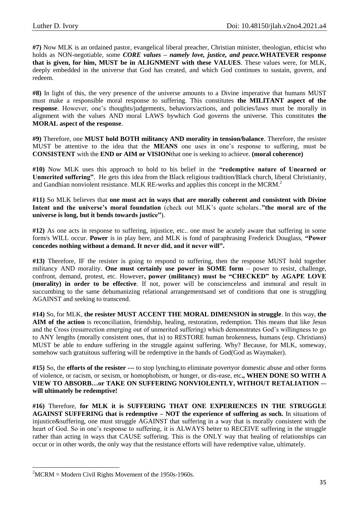**#7)** Now MLK is an ordained pastor, evangelical liberal preacher, Christian minister, theologian, ethicist who holds as NON-negotiable, some *CORE values – namely love, justice, and peace.***WHATEVER response that is given, for him, MUST be in ALIGNMENT with these VALUES**. These values were, for MLK, deeply embedded in the universe that God has created, and which God continues to sustain, govern, and redeem.

**#8)** In light of this, the very presence of the universe amounts to a Divine imperative that humans MUST must make a responsible moral response to suffering. This constitutes **the MILITANT aspect of the response**. However, one's thoughts/judgements, behaviors/actions, and policies/laws must be morally in alignment with the values AND moral LAWS bywhich God governs the universe. This constitutes **the MORAL aspect of the response**.

**#9)** Therefore, one **MUST hold BOTH militancy AND morality in tension/balance**. Therefore, the resister MUST be attentive to the idea that the **MEANS** one uses in one"s response to suffering, must be **CONSISTENT** with the **END or AIM or VISION**that one is seeking to achieve. **(moral coherence)**

**#10)** Now MLK uses this approach to hold to his belief in the **"redemptive nature of Unearned or Unmerited suffering"**. He gets this idea from the Black religious tradition/Black church, liberal Christianity, and Gandhian nonviolent resistance. MLK RE-works and applies this concept in the MCRM.<sup>2</sup>

**#11)** So MLK believes that **one must act in ways that are morally coherent and consistent with Divine**  Intent and the universe's moral foundation (check out MLK's quote scholars.."the moral arc of the **universe is long, but it bends towards justice"**).

**#12)** As one acts in response to suffering, injustice, etc.. one must be acutely aware that suffering in some form/s WILL occur. **Power** is in play here, and MLK is fond of paraphrasing Frederick Douglass, **"Power concedes nothing without a demand. It never did, and it never will".**

**#13)** Therefore, IF the resister is going to respond to suffering, then the response MUST hold together militancy AND morality. **One must certainly use power in SOME form** – power to resist, challenge, confront, demand, protest, etc. However**, power (militancy) must be "CHECKED" by AGAPE LOVE (morality) in order to be effective**. If not, power will be conscienceless and immoral and result in succumbing to the same dehumanizing relational arrangementsand set of conditions that one is struggling AGAINST and seeking to transcend.

**#14)** So, for MLK, **the resister MUST ACCENT THE MORAL DIMENSION in struggle**. In this way, **the AIM of the action** is reconciliation, friendship, healing, restoration, redemption. This means that like Jesus and the Cross (resurrection emerging out of unmerited suffering) which demonstrates God"s willingness to go to ANY lengths (morally consistent ones, that is) to RESTORE human brokenness, humans (esp. Christians) MUST be able to endure suffering in the struggle against suffering. Why? Because, for MLK, someway, somehow such gratuitous suffering will be redemptive in the hands of God(God as Waymaker).

**#15)** So, the **efforts of the resister ---** to stop lynching,to eliminate povertyor domestic abuse and other forms of violence, or racism, or sexism, or homophobism, or hunger, or dis-ease, etc**., WHEN DONE SO WITH A VIEW TO ABSORB…or TAKE ON SUFFERING NONVIOLENTLY, WITHOUT RETALIATION -– will ultimately be redemptive!**

**#16)** Therefore, **for MLK it is SUFFERING THAT ONE EXPERIENCES IN THE STRUGGLE AGAINST SUFFERING that is redemptive – NOT the experience of suffering as such.** In situations of injustice&suffering, one must struggle AGAINST that suffering in a way that is morally consistent with the heart of God. So in one's response to suffering, it is ALWAYS better to RECEIVE suffering in the struggle rather than acting in ways that CAUSE suffering. This is the ONLY way that healing of relationships can occur or in other words, the only way that the resistance efforts will have redemptive value, ultimately.

1

 $2^2$ MCRM = Modern Civil Rights Movement of the 1950s-1960s.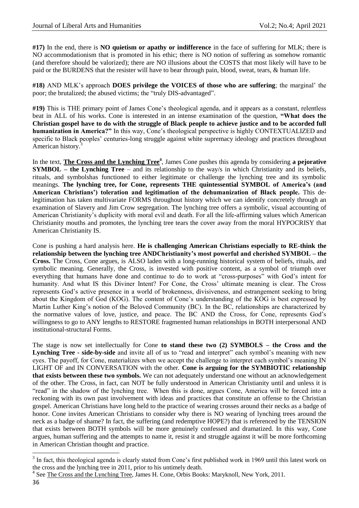**#17)** In the end, there is **NO quietism or apathy or indifference** in the face of suffering for MLK; there is NO accommodationism that is promoted in his ethic; there is NO notion of suffering as somehow romantic (and therefore should be valorized); there are NO illusions about the COSTS that most likely will have to be paid or the BURDENS that the resister will have to bear through pain, blood, sweat, tears, & human life.

**#18)** AND MLK"s approach **DOES privilege the VOICES of those who are suffering**; the marginal" the poor; the brutalized; the abused victims; the "truly DIS-advantaged".

**#19)** This is THE primary point of James Cone"s theological agenda, and it appears as a constant, relentless beat in ALL of his works. Cone is interested in an intense examination of the question, **"What does the Christian gospel have to do with the struggle of Black people to achieve justice and to be accorded full humanization in America?"** In this way, Cone"s theological perspective is highly CONTEXTUALIZED and specific to Black peoples' centuries-long struggle against white supremacy ideology and practices throughout American history.<sup>3</sup>

In the text, **The Cross and the Lynching Tree<sup>4</sup>**, James Cone pushes this agenda by considering **a pejorative SYMBOL – the Lynching Tree** – and its relationship to the way/s in which Christianity and its beliefs, rituals, and symbolshas functioned to either legitimate or challenge the lynching tree and its symbolic meanings. **The lynching tree, for Cone, represents THE quintessential SYMBOL of America"s (and American Christians") toleration and legitimation of the dehumanization of Black people.** This delegitimation has taken multivariate FORMS throughout history which we can identify concretely through an examination of Slavery and Jim Crow segregation. The lynching tree offers a symbolic, visual accounting of American Christianity"s duplicity with moral evil and death. For all the life-affirming values which American Christianity mouths and promotes, the lynching tree tears the cover away from the moral HYPOCRISY that American Christianity IS.

Cone is pushing a hard analysis here. **He is challenging American Christians especially to RE-think the relationship between the lynching tree ANDChristianity"s most powerful and cherished SYMBOL – the Cross.** The Cross, Cone argues, is ALSO laden with a long-running historical system of beliefs, rituals, and symbolic meaning. Generally, the Cross, is invested with positive content, as a symbol of triumph over everything that humans have done and continue to do to work at "cross-purposes" with God's intent for humanity. And what IS this Diviner Intent? For Cone, the Cross' ultimate meaning is clear. The Cross represents God"s active presence in a world of brokenness, divisiveness, and estrangement seeking to bring about the Kingdom of God (KOG). The content of Cone"s understanding of the KOG is best expressed by Martin Luther King's notion of the Beloved Community (BC). In the BC, relationships are characterized by the normative values of love, justice, and peace. The BC AND the Cross, for Cone, represents God"s willingness to go to ANY lengths to RESTORE fragmented human relationships in BOTH interpersonal AND institutional-structural Forms.

The stage is now set intellectually for Cone **to stand these two (2) SYMBOLS – the Cross and the**  Lynching Tree - side-by-side and invite all of us to "read and interpret" each symbol's meaning with new eyes. The payoff, for Cone, materializes when we accept the challenge to interpret each symbol"s meaning IN LIGHT OF and IN CONVERSATION with the other. **Cone is arguing for the SYMBIOTIC relationship that exists between these two symbols.** We can not adequately understand one without an acknowledgement of the other. The Cross, in fact, can NOT be fully understood in American Christianity until and unless it is "read" in the shadow of the lynching tree. When this is done, argues Cone, America will be forced into a reckoning with its own past involvement with ideas and practices that constitute an offense to the Christian gospel. American Christians have long held to the practice of wearing crosses around their necks as a badge of honor. Cone invites American Christians to consider why there is NO wearing of lynching trees around the neck as a badge of shame? In fact, the suffering (and redemptive HOPE?) that is referenced by the TENSION that exists between BOTH symbols will be more genuinely confessed and dramatized. In this way, Cone argues, human suffering and the attempts to name it, resist it and struggle against it will be more forthcoming in American Christian thought and practice.

**.** 

 $3$  In fact, this theological agenda is clearly stated from Cone's first published work in 1969 until this latest work on the cross and the lynching tree in 2011, prior to his untimely death.

<sup>&</sup>lt;sup>4</sup> See The Cross and the Lynching Tree, James H. Cone, Orbis Books: Maryknoll, New York, 2011.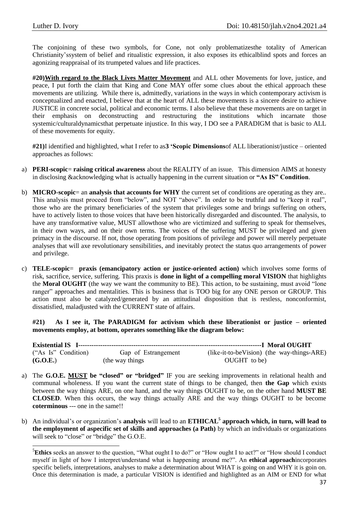The conjoining of these two symbols, for Cone, not only problematizesthe totality of American Christianity"ssystem of belief and ritualistic expression, it also exposes its ethicalblind spots and forces an agonizing reappraisal of its trumpeted values and life practices.

**#20)With regard to the Black Lives Matter Movement** and ALL other Movements for love, justice, and peace, I put forth the claim that King and Cone MAY offer some clues about the ethical approach these movements are utilizing. While there is, admittedly, variations in the ways in which contemporary activism is conceptualized and enacted, I believe that at the heart of ALL these movements is a sincere desire to achieve JUSTICE in concrete social, political and economic terms. I also believe that these movements are on target in their emphasis on deconstructing and restructuring the institutions which incarnate those systemic/culturaldynamicsthat perpetuate injustice. In this way, I DO see a PARADIGM that is basic to ALL of these movements for equity.

**#21)**I identified and highlighted, what I refer to as**3 "Scopic Dimensions**of ALL liberationist/justice – oriented approaches as follows:

- a) **PERI-scopic**= **raising critical awareness** about the REALITY of an issue. This dimension AIMS at honesty in disclosing &acknowledging what is actually happening in the current situation or **"As IS" Condition**.
- b) **MICRO-scopic**= an **analysis that accounts for WHY** the current set of conditions are operating as they are.. This analysis must proceed from "below", and NOT "above". In order to be truthful and to "keep it real", those who are the primary beneficiaries of the system that privileges some and brings suffering on others, have to actively listen to those voices that have been historically disregarded and discounted. The analysis, to have any transformative value, MUST allowthose who are victimized and suffering to speak for themselves, in their own ways, and on their own terms. The voices of the suffering MUST be privileged and given primacy in the discourse. If not, those operating from positions of privilege and power will merely perpetuate analyses that will axe revolutionary sensibilities, and inevitably protect the status quo arrangements of power and privilege.
- c) **TELE-scopic**= **praxis (emancipatory action or justice-oriented action)** which involves some forms of risk, sacrifice, service, suffering. This praxis is **done in light of a compelling moral VISION** that highlights the **Moral OUGHT** (the way we want the community to BE). This action, to be sustaining, must avoid "lone ranger" approaches and mentalities. This is business that is TOO big for any ONE person or GROUP. This action must also be catalyzed/generated by an attitudinal disposition that is restless, nonconformist, dissatisfied, maladjusted with the CURRENT state of affairs.

**#21) As I see it, The PARADIGM for activism which these liberationist or justice – oriented movements employ, at bottom, operates something like the diagram below:**

| ("As Is" Condition) | Gap of Estrangement | (like-it-to-beVision) (the way-things-ARE) |
|---------------------|---------------------|--------------------------------------------|
| (G.O.E.)            | (the way things)    | OUGHT to be)                               |

- a) The **G.O.E. MUST be "closed" or "bridged"** IF you are seeking improvements in relational health and communal wholeness. If you want the current state of things to be changed, then **the Gap** which exists between the way things ARE, on one hand, and the way things OUGHT to be, on the other hand **MUST BE CLOSED**. When this occurs, the way things actually ARE and the way things OUGHT to be become **coterminous** --- one in the same!!
- b) An individual"s or organization"s **analysis** will lead to an **ETHICAL<sup>5</sup> approach which, in turn, will lead to the employment of aspecific set of skills and approaches (a Path)** by which an individuals or organizations will seek to "close" or "bridge" the G.O.E.

**<sup>.</sup>** <sup>5</sup>**Ethics** seeks an answer to the question, "What ought I to do?" or "How ought I to act?" or "How should I conduct myself in light of how I interpret/understand what is happening around me?". An **ethical approach**incorporates specific beliefs, interpretations, analyses to make a determination about WHAT is going on and WHY it is goin on. Once this determination is made, a particular VISION is identified and highlighted as an AIM or END for what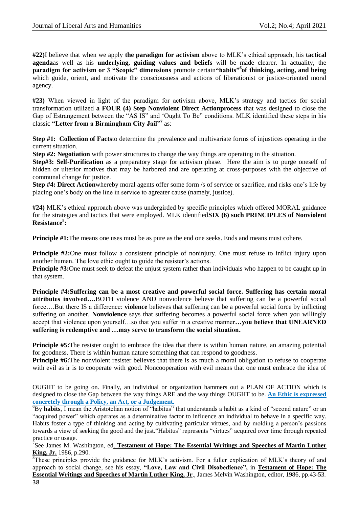**#22)**I believe that when we apply **the paradigm for activism** above to MLK"s ethical approach, his **tactical agenda**as well as his **underlying, guiding values and beliefs** will be made clearer. In actuality, the **paradigm for activism or 3 "Scopic" dimensions** promote certain**"habits"<sup>6</sup> of thinking, acting, and being** which guide, orient, and motivate the consciousness and actions of liberationist or justice-oriented moral agency.

**#23)** When viewed in light of the paradigm for activism above, MLK"s strategy and tactics for social transformation utilized **a FOUR (4) Step Nonviolent Direct Actionprocess** that was designed to close the Gap of Estrangement between the "AS IS" and "Ought To Be" conditions. MLK identified these steps in his classic **"Letter from a Birmingham City Jail"<sup>7</sup>** as:

**Step #1: Collection of Facts**to determine the prevalence and multivariate forms of injustices operating in the current situation.

**Step #2: Negotiation** with power structures to change the way things are operating in the situation.

**Step#3: Self-Purification** as a preparatory stage for activism phase. Here the aim is to purge oneself of hidden or ulterior motives that may be harbored and are operating at cross-purposes with the objective of communal change for justice.

**Step #4: Direct Action**whereby moral agents offer some form /s of service or sacrifice, and risks one's life by placing one"s body on the line in service to agreater cause (namely, justice).

**#24)** MLK"s ethical approach above was undergirded by specific principles which offered MORAL guidance for the strategies and tactics that were employed. MLK identified**SIX (6) such PRINCIPLES of Nonviolent Resistance<sup>8</sup> :** 

**Principle #1:**The means one uses must be as pure as the end one seeks. Ends and means must cohere.

**Principle #2:**One must follow a consistent principle of noninjury. One must refuse to inflict injury upon another human. The love ethic ought to guide the resister's actions.

**Principle #3:**One must seek to defeat the unjust system rather than individuals who happen to be caught up in that system.

**Principle #4:Suffering can be a most creative and powerful social force. Suffering has certain moral attributes involved….**BOTH violence AND nonviolence believe that suffering can be a powerful social force….But there IS a difference: **violence** believes that suffering can be a powerful social force by inflicting suffering on another. **Nonviolence** says that suffering becomes a powerful social force when you willingly accept that violence upon yourself…so that you suffer in a creative manner**…you believe that UNEARNED suffering is redemptive and …may serve to transform the social situation.**

**Principle #5:**The resister ought to embrace the idea that there is within human nature, an amazing potential for goodness. There is within human nature something that can respond to goodness.

**Principle #6:**The nonviolent resister believes that there is as much a moral obligation to refuse to cooperate with evil as ir is to cooperate with good. Noncooperation with evil means that one must embrace the idea of

OUGHT to be going on. Finally, an individual or organization hammers out a PLAN OF ACTION which is designed to close the Gap between the way things ARE and the way things OUGHT to be. **An Ethic is expressed concretely through a Policy, an Act, or a Judgement.**

<sup>6</sup>By habits, I mean the Aristotelian notion of "habitus" that understands a habit as a kind of "second nature" or an "acquired power" which operates as a determinative factor to influence an individual to behave in a specific way. Habits foster a type of thinking and acting by cultivating particular virtues, and by molding a person's passions towards a view of seeking the good and the just."Habitus" represents "virtues" acquired over time through repeated practice or usage.

7 See James M. Washington, ed. **Testament of Hope: The Essential Writings and Speeches of Martin Luther King, Jr.** 1986, p.290.

<sup>8</sup>These principles provide the guidance for MLK's activism. For a fuller explication of MLK's theory of and approach to social change, see his essay, **"Love, Law and Civil Disobedience",** in **Testament of Hope: The Essential Writings and Speeches of Martin Luther King, Jr**., James Melvin Washington, editor, 1986, pp.43-53.

**.**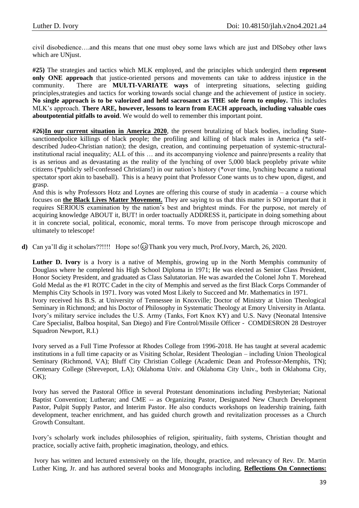civil disobedience….and this means that one must obey some laws which are just and DISobey other laws which are UNjust.

**#25)** The strategies and tactics which MLK employed, and the principles which undergird them **represent only ONE approach** that justice-oriented persons and movements can take to address injustice in the community. There are **MULTI-VARIATE ways** of interpreting situations, selecting guiding principles,strategies and tactics for working towards social change and the achievement of justice in society. **No single approach is to be valorized and held sacrosanct as THE sole form to employ.** This includes MLK"s approach. **There ARE, however, lessons to learn from EACH approach, including valuable cues aboutpotential pitfalls to avoid**. We would do well to remember this important point.

**#26)In our current situation in America 2020**, the present brutalizing of black bodies, including Statesanctionedpolice killings of black people; the profiling and killing of black males in America (\*a selfdescribed Judeo-Christian nation); the design, creation, and continuing perpetuation of systemic-structuralinstitutional racial inequality; ALL of this … and its accompanying violence and painre/presents a reality that is as serious and as devastating as the reality of the lynching of over 5,000 black peopleby private white citizens (\*publicly self-confessed Christians!) in our nation"s history (\*over time, lynching became a national spectator sport akin to baseball). This is a heavy point that Professor Cone wants us to chew upon, digest, and grasp.

And this is why Professors Hotz and Loynes are offering this course of study in academia – a course which focuses on **the Black Lives Matter Movement.** They are saying to us that this matter is SO important that it requires SERIOUS examination by the nation"s best and brightest minds. For the purpose, not merely of acquiring knowledge ABOUT it, BUT! in order toactually ADDRESS it, participate in doing something about it in concrete social, political, economic, moral terms. To move from periscope through microscope and ultimately to telescope!

**d**) Can ya'll dig it scholars??!!!! Hope so! @ Thank you very much, Prof.Ivory, March, 26, 2020.

**Luther D. Ivory** is a Ivory is a native of Memphis, growing up in the North Memphis community of Douglass where he completed his High School Diploma in 1971; He was elected as Senior Class President, Honor Society President, and graduated as Class Salutatorian. He was awarded the Colonel John T. Morehead Gold Medal as the #1 ROTC Cadet in the city of Memphis and served as the first Black Corps Commander of Memphis City Schools in 1971. Ivory was voted Most Likely to Succeed and Mr. Mathematics in 1971. Ivory received his B.S. at University of Tennessee in Knoxville; Doctor of Ministry at Union Theological Seminary in Richmond; and his Doctor of Philosophy in Systematic Theology at Emory University in Atlanta. Ivory"s military service includes the U.S. Army (Tanks, Fort Knox KY) and U.S. Navy (Neonatal Intensive Care Specialist, Balboa hospital, San Diego) and Fire Control/Missile Officer - COMDESRON 28 Destroyer Squadron Newport, R.I.)

Ivory served as a Full Time Professor at Rhodes College from 1996-2018. He has taught at several academic institutions in a full time capacity or as Visiting Scholar, Resident Theologian – including Union Theological Seminary (Richmond, VA); Bluff City Christian College (Academic Dean and Professor-Memphis, TN); Centenary College (Shreveport, LA); Oklahoma Univ. and Oklahoma City Univ., both in Oklahoma City,  $OK);$ 

Ivory has served the Pastoral Office in several Protestant denominations including Presbyterian; National Baptist Convention; Lutheran; and CME -- as Organizing Pastor, Designated New Church Development Pastor, Pulpit Supply Pastor, and Interim Pastor. He also conducts workshops on leadership training, faith development, teacher enrichment, and has guided church growth and revitalization processes as a Church Growth Consultant.

Ivory"s scholarly work includes philosophies of religion, spirituality, faith systems, Christian thought and practice, socially active faith, prophetic imagination, theology, and ethics.

Ivory has written and lectured extensively on the life, thought, practice, and relevancy of Rev. Dr. Martin Luther King, Jr. and has authored several books and Monographs including, **Reflections On Connections:**